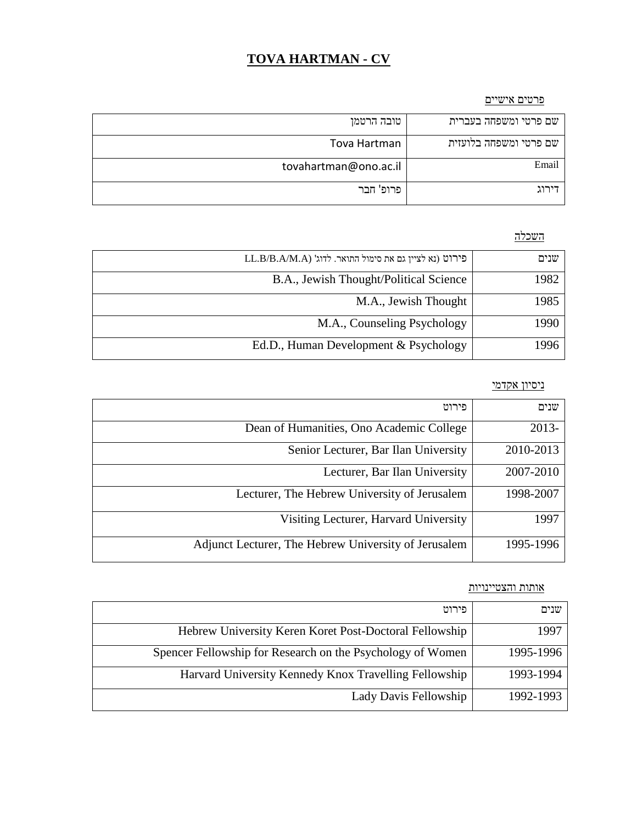# **TOVA HARTMAN - CV**

### פרטים אישיים

| טובה הרטמן            | שם פרטי ומשפחה בעברית  |
|-----------------------|------------------------|
| Tova Hartman          | שם פרטי ומשפחה בלועזית |
| tovahartman@ono.ac.il | Email                  |
| פרופ' חבר             |                        |

## השכלה

| LL.B/B.A/M.A) פירוט (נא לציין גם את סימול התואר. לדוג' | שנים |
|--------------------------------------------------------|------|
| B.A., Jewish Thought/Political Science                 | 1982 |
| M.A., Jewish Thought                                   | 1985 |
| M.A., Counseling Psychology                            | 1990 |
| Ed.D., Human Development & Psychology                  | 1996 |

### ניסיון אקדמי

| פירוט                                                | שנים      |
|------------------------------------------------------|-----------|
| Dean of Humanities, Ono Academic College             | 2013-     |
| Senior Lecturer, Bar Ilan University                 | 2010-2013 |
| Lecturer, Bar Ilan University                        | 2007-2010 |
| Lecturer, The Hebrew University of Jerusalem         | 1998-2007 |
| Visiting Lecturer, Harvard University                | 1997      |
| Adjunct Lecturer, The Hebrew University of Jerusalem | 1995-1996 |

## אותות והצטיינויות

| פירוט                                                      | שנים      |
|------------------------------------------------------------|-----------|
| Hebrew University Keren Koret Post-Doctoral Fellowship     | 1997      |
| Spencer Fellowship for Research on the Psychology of Women | 1995-1996 |
| Harvard University Kennedy Knox Travelling Fellowship      | 1993-1994 |
| Lady Davis Fellowship                                      | 1992-1993 |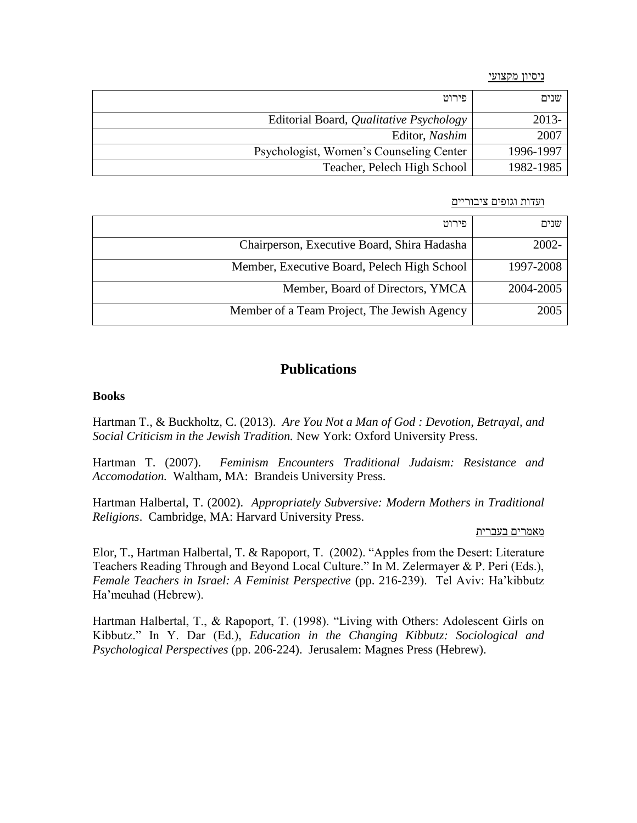#### ניסיון מקצועי

| פירוט                                   | שנים      |
|-----------------------------------------|-----------|
| Editorial Board, Qualitative Psychology | 2013-     |
| Editor, Nashim                          | 2007      |
| Psychologist, Women's Counseling Center | 1996-1997 |
| Teacher, Pelech High School             | 1982-1985 |

### ועדות וגופים ציבוריים

| פירוט                                       | שנים      |
|---------------------------------------------|-----------|
| Chairperson, Executive Board, Shira Hadasha | $2002 -$  |
| Member, Executive Board, Pelech High School | 1997-2008 |
| Member, Board of Directors, YMCA            | 2004-2005 |
| Member of a Team Project, The Jewish Agency | 2005      |

## **Publications**

### **Books**

Hartman T., & Buckholtz, C. (2013). *Are You Not a Man of God : Devotion, Betrayal, and Social Criticism in the Jewish Tradition.* New York: Oxford University Press.

Hartman T. (2007). *Feminism Encounters Traditional Judaism: Resistance and Accomodation.* Waltham, MA: Brandeis University Press.

Hartman Halbertal, T. (2002). *Appropriately Subversive: Modern Mothers in Traditional Religions*. Cambridge, MA: Harvard University Press.

#### מאמרים בעברית

Elor, T., Hartman Halbertal, T. & Rapoport, T. (2002). "Apples from the Desert: Literature Teachers Reading Through and Beyond Local Culture." In M. Zelermayer & P. Peri (Eds.), *Female Teachers in Israel: A Feminist Perspective* (pp. 216-239). Tel Aviv: Ha'kibbutz Ha'meuhad (Hebrew).

Hartman Halbertal, T., & Rapoport, T. (1998). "Living with Others: Adolescent Girls on Kibbutz." In Y. Dar (Ed.), *Education in the Changing Kibbutz: Sociological and Psychological Perspectives* (pp. 206-224). Jerusalem: Magnes Press (Hebrew).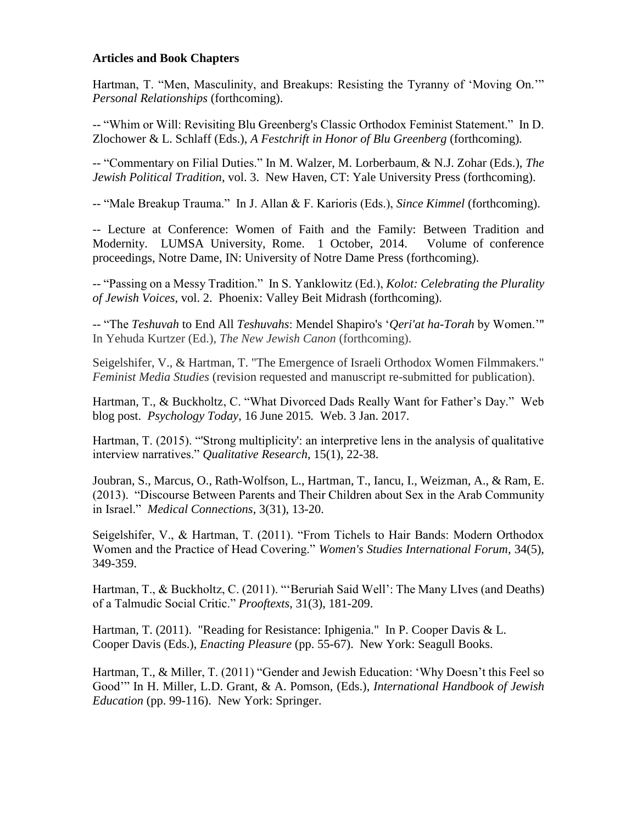## **Articles and Book Chapters**

Hartman, T. "Men, Masculinity, and Breakups: Resisting the Tyranny of 'Moving On.'" *Personal Relationships* (forthcoming).

-- "Whim or Will: Revisiting Blu Greenberg's Classic Orthodox Feminist Statement." In D. Zlochower & L. Schlaff (Eds.), *A Festchrift in Honor of Blu Greenberg* (forthcoming)*.* 

-- "Commentary on Filial Duties." In M. Walzer, [M. Lorberbaum](https://www.amazon.com/s/ref=dp_byline_sr_book_2?ie=UTF8&text=Mr.+Menachem+Lorberbaum&search-alias=books&field-author=Mr.+Menachem+Lorberbaum&sort=relevancerank), & N.J. Zohar (Eds.), *The Jewish Political Tradition*, vol. 3. New Haven, CT: Yale University Press (forthcoming).

-- "Male Breakup Trauma." In J. Allan & F. Karioris (Eds.), *Since Kimmel* (forthcoming).

-- Lecture at Conference: Women of Faith and the Family: Between Tradition and Modernity. LUMSA University, Rome. 1 October, 2014. Volume of conference proceedings, Notre Dame, IN: University of Notre Dame Press (forthcoming).

-- "Passing on a Messy Tradition." In S. Yanklowitz (Ed.), *Kolot: Celebrating the Plurality of Jewish Voices*, vol. 2. Phoenix: Valley Beit Midrash (forthcoming).

-- "The *Teshuvah* to End All *Teshuvahs*: Mendel Shapiro's '*Qeri'at ha-Torah* by Women.'" In Yehuda Kurtzer (Ed.), *The New Jewish Canon* (forthcoming).

Seigelshifer, V., & Hartman, T. "The Emergence of Israeli Orthodox Women Filmmakers." *Feminist Media Studies* (revision requested and manuscript re-submitted for publication).

Hartman, T., & Buckholtz, C. "What Divorced Dads Really Want for Father's Day." Web blog post. *Psychology Today*, 16 June 2015*.* Web. 3 Jan. 2017.

Hartman, T. (2015). "'Strong multiplicity': an interpretive lens in the analysis of qualitative interview narratives." *Qualitative Research*, 15(1), 22-38.

Joubran, S., Marcus, O., Rath-Wolfson, L., Hartman, T., Iancu, I., Weizman, A., & Ram, E. (2013). "Discourse Between Parents and Their Children about Sex in the Arab Community in Israel." *Medical Connections*, 3(31), 13-20.

Seigelshifer, V., & Hartman, T. (2011). "From Tichels to Hair Bands: Modern Orthodox Women and the Practice of Head Covering." *Women's Studies International Forum*, 34(5), 349-359.

Hartman, T., & Buckholtz, C. (2011). "'Beruriah Said Well': The Many LIves (and Deaths) of a Talmudic Social Critic." *Prooftexts*, 31(3), 181-209.

Hartman, T. (2011). "Reading for Resistance: Iphigenia." In P. Cooper Davis & L. Cooper Davis (Eds.), *Enacting Pleasure* (pp. 55-67). New York: Seagull Books.

Hartman, T., & Miller, T. (2011) "Gender and Jewish Education: 'Why Doesn't this Feel so Good'" In H. Miller, L.D. Grant, & A. Pomson, (Eds.), *International Handbook of Jewish Education* (pp. 99-116). New York: Springer.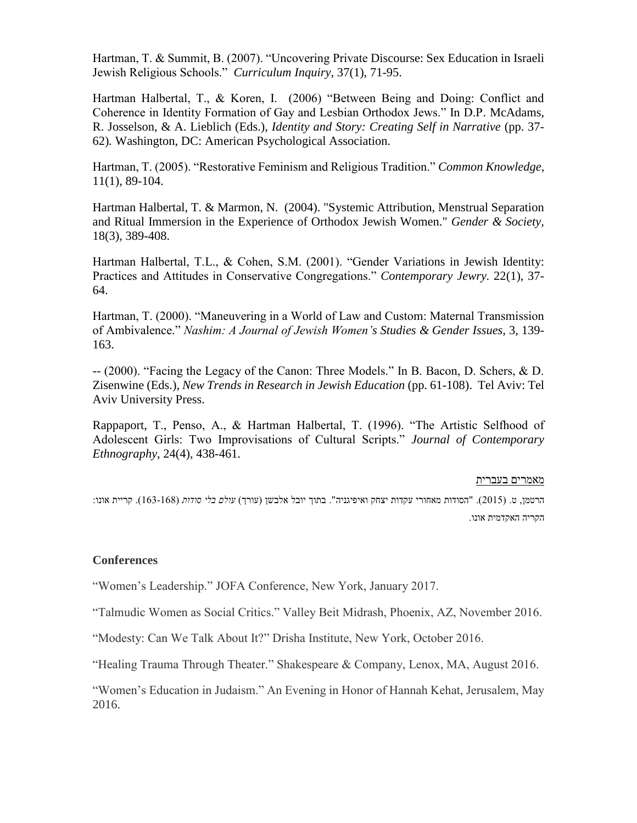Hartman, T. & Summit, B. (2007). "Uncovering Private Discourse: Sex Education in Israeli Jewish Religious Schools." *Curriculum Inquiry*, 37(1), 71-95.

Hartman Halbertal, T., & Koren, I. (2006) "Between Being and Doing: Conflict and Coherence in Identity Formation of Gay and Lesbian Orthodox Jews." In D.P. McAdams, R. Josselson, & A. Lieblich (Eds.), *Identity and Story: Creating Self in Narrative* (pp. 37- 62)*.* Washington, DC: American Psychological Association.

Hartman, T. (2005). "Restorative Feminism and Religious Tradition." *Common Knowledge,*  11(1), 89-104.

Hartman Halbertal, T. & Marmon, N. (2004). "Systemic Attribution, Menstrual Separation and Ritual Immersion in the Experience of Orthodox Jewish Women." *Gender & Society,* 18(3), 389-408.

Hartman Halbertal, T.L., & Cohen, S.M. (2001). "Gender Variations in Jewish Identity: Practices and Attitudes in Conservative Congregations." *Contemporary Jewry.* 22(1), 37- 64.

Hartman, T. (2000). "Maneuvering in a World of Law and Custom: Maternal Transmission of Ambivalence." *Nashim: A Journal of Jewish Women's Studies & Gender Issues,* 3, 139- 163.

-- (2000). "Facing the Legacy of the Canon: Three Models." In B. Bacon, D. Schers, & D. Zisenwine (Eds.), *New Trends in Research in Jewish Education* (pp. 61-108). Tel Aviv: Tel Aviv University Press.

Rappaport, T., Penso, A., & Hartman Halbertal, T. (1996). "The Artistic Selfhood of Adolescent Girls: Two Improvisations of Cultural Scripts." *Journal of Contemporary Ethnography*, 24(4), 438-461.

### מאמרים בעברית

הרטמן, ט. )2015(. "הסודות מאחורי עקדות יצחק ואיפיגניה". בתוך יובל אלבשן )עורך( *עולם בלי סודות* )163-168(. קריית אונו: הקריה האקדמית אונו.

## **Conferences**

"Women's Leadership." JOFA Conference, New York, January 2017.

"Talmudic Women as Social Critics." Valley Beit Midrash, Phoenix, AZ, November 2016.

"Modesty: Can We Talk About It?" Drisha Institute, New York, October 2016.

"Healing Trauma Through Theater." Shakespeare & Company, Lenox, MA, August 2016.

"Women's Education in Judaism." An Evening in Honor of Hannah Kehat, Jerusalem, May 2016.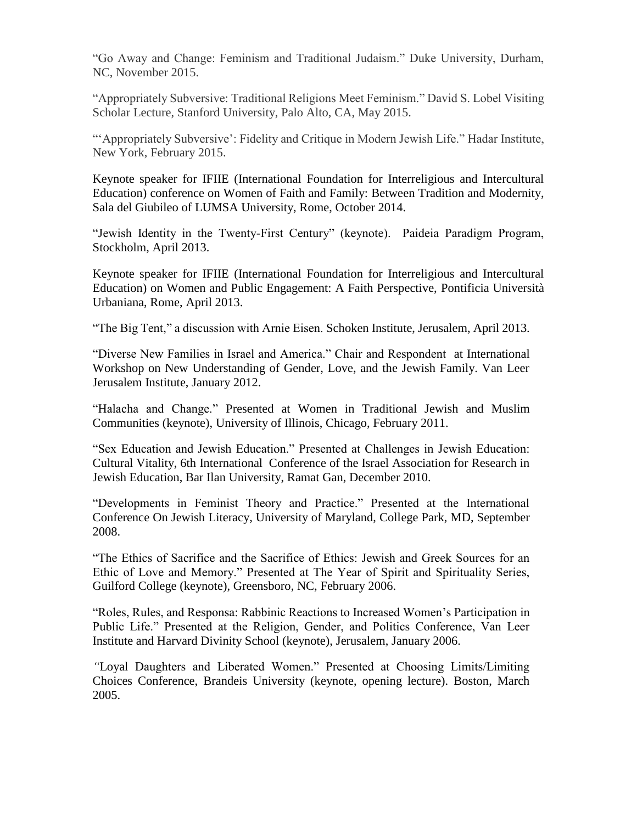"Go Away and Change: Feminism and Traditional Judaism." Duke University, Durham, NC, November 2015.

"Appropriately Subversive: Traditional Religions Meet Feminism." David S. Lobel Visiting Scholar Lecture, Stanford University, Palo Alto, CA, May 2015.

"'Appropriately Subversive': Fidelity and Critique in Modern Jewish Life." Hadar Institute, New York, February 2015.

Keynote speaker for IFIIE (International Foundation for Interreligious and Intercultural Education) conference on Women of Faith and Family: Between Tradition and Modernity, Sala del Giubileo of LUMSA University, Rome, October 2014.

"Jewish Identity in the Twenty-First Century" (keynote). Paideia Paradigm Program, Stockholm, April 2013.

Keynote speaker for IFIIE (International Foundation for Interreligious and Intercultural Education) on Women and Public Engagement: A Faith Perspective, Pontificia Università Urbaniana, Rome, April 2013.

"The Big Tent," a discussion with Arnie Eisen. Schoken Institute, Jerusalem, April 2013.

"Diverse New Families in Israel and America." Chair and Respondentat International Workshop on New Understanding of Gender, Love, and the Jewish Family. Van Leer Jerusalem Institute, January 2012.

"Halacha and Change." Presented at Women in Traditional Jewish and Muslim Communities (keynote), University of Illinois, Chicago, February 2011.

"Sex Education and Jewish Education." Presented at Challenges in Jewish Education: Cultural Vitality, 6th International Conference of the Israel Association for Research in Jewish Education, Bar Ilan University, Ramat Gan, December 2010.

"Developments in Feminist Theory and Practice." Presented at the International Conference On Jewish Literacy, University of Maryland, College Park, MD, September 2008.

"The Ethics of Sacrifice and the Sacrifice of Ethics: Jewish and Greek Sources for an Ethic of Love and Memory." Presented at The Year of Spirit and Spirituality Series, Guilford College (keynote), Greensboro, NC, February 2006.

"Roles, Rules, and Responsa: Rabbinic Reactions to Increased Women's Participation in Public Life." Presented at the Religion, Gender, and Politics Conference, Van Leer Institute and Harvard Divinity School (keynote), Jerusalem, January 2006.

*"*Loyal Daughters and Liberated Women." Presented at Choosing Limits/Limiting Choices Conference, Brandeis University (keynote, opening lecture). Boston, March 2005.